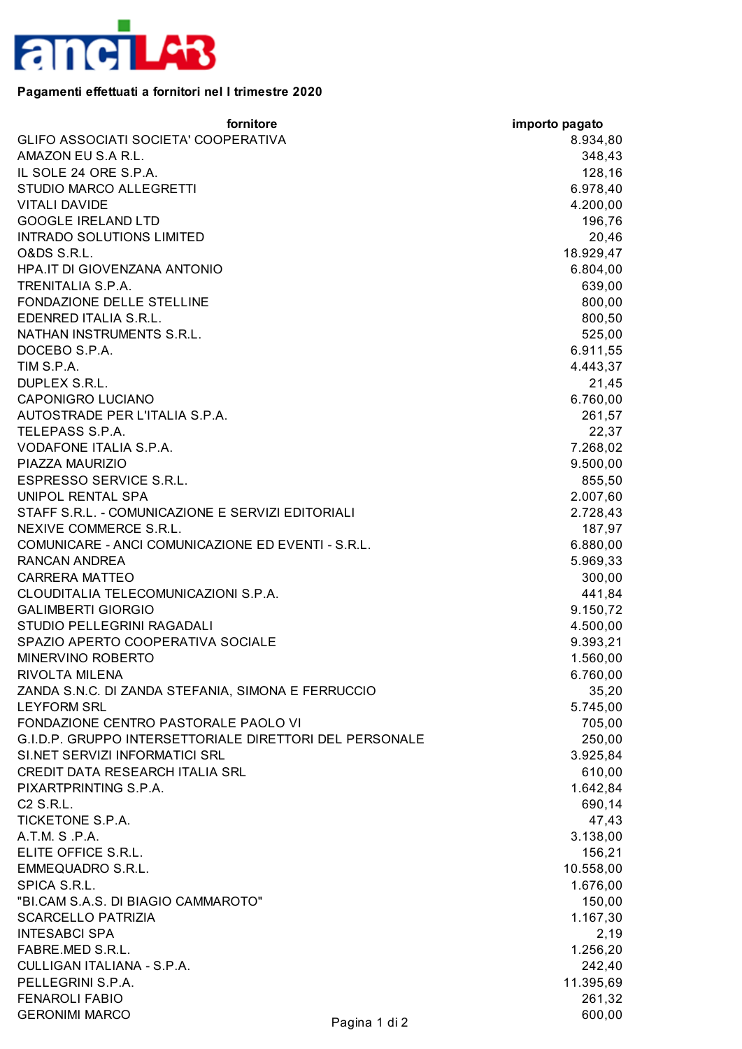

## **Pagamenti effettuati a fornitori nel I trimestre 2020**

| fornitore                                               |               | importo pagato |
|---------------------------------------------------------|---------------|----------------|
| GLIFO ASSOCIATI SOCIETA' COOPERATIVA                    |               | 8.934,80       |
| AMAZON EU S.A R.L.                                      |               | 348,43         |
| IL SOLE 24 ORE S.P.A.                                   |               | 128,16         |
| STUDIO MARCO ALLEGRETTI                                 |               | 6.978,40       |
| <b>VITALI DAVIDE</b>                                    |               | 4.200,00       |
| <b>GOOGLE IRELAND LTD</b>                               |               | 196,76         |
| INTRADO SOLUTIONS LIMITED                               |               | 20,46          |
| O&DS S.R.L.                                             |               | 18.929,47      |
| HPA.IT DI GIOVENZANA ANTONIO                            |               | 6.804,00       |
| TRENITALIA S.P.A.                                       |               | 639,00         |
| FONDAZIONE DELLE STELLINE                               |               | 800,00         |
| EDENRED ITALIA S.R.L.                                   |               | 800,50         |
| NATHAN INSTRUMENTS S.R.L.                               |               | 525,00         |
| DOCEBO S.P.A.                                           |               | 6.911,55       |
| TIM S.P.A.                                              |               | 4.443,37       |
|                                                         |               |                |
| DUPLEX S.R.L.<br><b>CAPONIGRO LUCIANO</b>               |               | 21,45          |
|                                                         |               | 6.760,00       |
| AUTOSTRADE PER L'ITALIA S.P.A.                          |               | 261,57         |
| TELEPASS S.P.A.                                         |               | 22,37          |
| VODAFONE ITALIA S.P.A.                                  |               | 7.268,02       |
| PIAZZA MAURIZIO                                         |               | 9.500,00       |
| ESPRESSO SERVICE S.R.L.                                 |               | 855,50         |
| UNIPOL RENTAL SPA                                       |               | 2.007,60       |
| STAFF S.R.L. - COMUNICAZIONE E SERVIZI EDITORIALI       |               | 2.728,43       |
| NEXIVE COMMERCE S.R.L.                                  |               | 187,97         |
| COMUNICARE - ANCI COMUNICAZIONE ED EVENTI - S.R.L.      |               | 6.880,00       |
| RANCAN ANDREA                                           |               | 5.969,33       |
| <b>CARRERA MATTEO</b>                                   |               | 300,00         |
| CLOUDITALIA TELECOMUNICAZIONI S.P.A.                    |               | 441,84         |
| <b>GALIMBERTI GIORGIO</b>                               |               | 9.150,72       |
| STUDIO PELLEGRINI RAGADALI                              |               | 4.500,00       |
| SPAZIO APERTO COOPERATIVA SOCIALE                       |               | 9.393,21       |
| MINERVINO ROBERTO                                       |               | 1.560,00       |
| RIVOLTA MILENA                                          |               | 6.760,00       |
| ZANDA S.N.C. DI ZANDA STEFANIA, SIMONA E FERRUCCIO      |               | 35,20          |
| <b>LEYFORM SRL</b>                                      |               | 5.745,00       |
| FONDAZIONE CENTRO PASTORALE PAOLO VI                    |               | 705,00         |
| G.I.D.P. GRUPPO INTERSETTORIALE DIRETTORI DEL PERSONALE |               | 250,00         |
| SI.NET SERVIZI INFORMATICI SRL                          |               | 3.925,84       |
| CREDIT DATA RESEARCH ITALIA SRL                         |               | 610,00         |
| PIXARTPRINTING S.P.A.                                   |               | 1.642,84       |
| C2 S.R.L.                                               |               | 690,14         |
| <b>TICKETONE S.P.A.</b>                                 |               | 47,43          |
| A.T.M. S.P.A.                                           |               | 3.138,00       |
| ELITE OFFICE S.R.L.                                     |               | 156,21         |
| EMMEQUADRO S.R.L.                                       |               | 10.558,00      |
|                                                         |               |                |
| SPICA S.R.L.<br>"BI.CAM S.A.S. DI BIAGIO CAMMAROTO"     |               | 1.676,00       |
|                                                         |               | 150,00         |
| <b>SCARCELLO PATRIZIA</b>                               |               | 1.167,30       |
| <b>INTESABCI SPA</b>                                    |               | 2,19           |
| FABRE.MED S.R.L.                                        |               | 1.256,20       |
| CULLIGAN ITALIANA - S.P.A.                              |               | 242,40         |
| PELLEGRINI S.P.A.                                       |               | 11.395,69      |
| <b>FENAROLI FABIO</b>                                   |               | 261,32         |
| <b>GERONIMI MARCO</b>                                   | Pagina 1 di 2 | 600,00         |